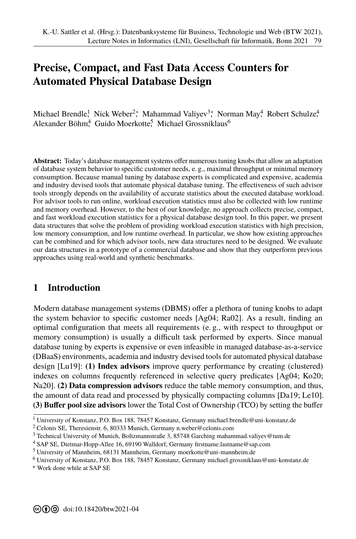# **Precise, Compact, and Fast Data Access Counters for Automated Physical Database Design**

Michael Brendle<sup>1</sup>, Nick Weber<sup>2</sup>\*, Mahammad Valiyev<sup>3</sup>\*, Norman May<sup>4</sup>, Robert Schulze<sup>4</sup>, Alexander Böhm<sup>4</sup> Guido Moerkotte<sup>5</sup> Michael Grossniklaus<sup>6</sup>

**Abstract:** Today's database management systems offer numerous tuning knobs that allow an adaptation of database system behavior to specific customer needs, e. g., maximal throughput or minimal memory consumption. Because manual tuning by database experts is complicated and expensive, academia and industry devised tools that automate physical database tuning. The effectiveness of such advisor tools strongly depends on the availability of accurate statistics about the executed database workload. For advisor tools to run online, workload execution statistics must also be collected with low runtime and memory overhead. However, to the best of our knowledge, no approach collects precise, compact, and fast workload execution statistics for a physical database design tool. In this paper, we present data structures that solve the problem of providing workload execution statistics with high precision, low memory consumption, and low runtime overhead. In particular, we show how existing approaches can be combined and for which advisor tools, new data structures need to be designed. We evaluate our data structures in a prototype of a commercial database and show that they outperform previous approaches using real-world and synthetic benchmarks.

### **1 Introduction**

Modern database management systems (DBMS) offer a plethora of tuning knobs to adapt the system behavior to specific customer needs [Ag04; Ra02]. As a result, finding an optimal configuration that meets all requirements (e. g., with respect to throughput or memory consumption) is usually a difficult task performed by experts. Since manual [d](#page-0-0)atabase tuning by experts is expensive or even infeasible in managed database-as-a-service (DBaaS) environments, academia and industry devised tools for automated physical database design [Lu19]: **(1) Index advisors** improve query performance by creating (clustered) indexes on columns frequently referenced in selective query predicates [Ag04; Ko20; Na20]. **(2) Data compression advisors** reduce the table memory consumption, and thus, the amount of data read and processed by physically compacting columns [Da19; Le10]. **(3) Buffer pool size advisors** lower the Total Cost of Ownership (TCO) by setting the buffer

<sup>1</sup> University of Konstanz, P.O. Box 188, 78457 Konstanz, Germany michael.brendle@uni-konstanz.de

<sup>2</sup> Celonis SE, Theresienstr. 6, 80333 Munich, Germany n.weber@celonis.com

<sup>3</sup> Technical University of Munich, Boltzmannstraße 3, [85748 Garching](mailto:n.weber@celonis.com) [mahammad.valiyev@tum.de](mailto:michael.brendle@uni-konstanz.de)

<sup>4</sup> SAP SE, Dietmar-Hopp-Allee 16, 69190 Walldorf, Germany firstnam[e.lastname@sap.com](mailto:mahammad.valiyev@tum.de)

<sup>5</sup> University of Mannheim, 68131 Mannheim, Germany moerk[otte@uni-mannheim.de](mailto:firstname.lastname@sap.com)

<sup>6</sup> University of Konstanz, P.O. Box 188, 78457 Konstanz, Germany [michael.grossnikla](mailto:moerkotte@uni-mannheim.de)[us@uni-konstanz.de](mailto:michael.grossniklaus@uni-konstanz.de)

<span id="page-0-0"></span><sup>\*</sup> Work done while at SAP SE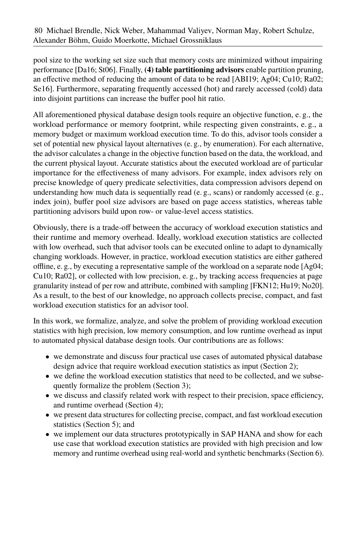pool size to the working set size such that memory costs are minimized without impairing performance [Da16; St06]. Finally, **(4) table partitioning advisors** enable partition pruning, an effective method of reducing the amount of data to be read [ABI19; Ag04; Cu10; Ra02; Se16]. Furthermore, separating frequently accessed (hot) and rarely accessed (cold) data into disjoint partitions can increase the buffer pool hit ratio.

All aforementioned physical database design tools require an objective function, e. g., the workload performance or memory footprint, while respecting given constraints, e. g., a memory budget or maximum workload execution time. To do this, advisor tools consider a set of potential new physical layout alternatives (e. g., by enumeration). For each alternative, the advisor calculates a change in the objective function based on the data, the workload, and the current physical layout. Accurate statistics about the executed workload are of particular importance for the effectiveness of many advisors. For example, index advisors rely on precise knowledge of query predicate selectivities, data compression advisors depend on understanding how much data is sequentially read (e. g., scans) or randomly accessed (e. g., index join), buffer pool size advisors are based on page access statistics, whereas table partitioning advisors build upon row- or value-level access statistics.

Obviously, there is a trade-off between the accuracy of workload execution statistics and their runtime and memory overhead. Ideally, workload execution statistics are collected with low overhead, such that advisor tools can be executed online to adapt to dynamically changing workloads. However, in practice, workload execution statistics are either gathered offline, e. g., by executing a representative sample of the workload on a separate node  $[Ag04;$ Cu10; Ra02], or collected with low precision, e. g., by tracking access frequencies at page granularity instead of per row and attribute, combined with sampling [FKN12; Hu19; No20]. As a result, to the best of our knowledge, no approach collects precise, compact, and fast workload execution statistics for an advisor tool.

In this work, we formalize, analyze, and solve the problem of providing workload execution statistics with high precision, low memory consumption, and low runtime overhead as input to automated physical database design tools. Our contributions are as follows:

- we demonstrate and discuss four practical use cases of automated physical database design advice that require workload execution statistics as input (Section [2\)](#page-2-0);
- we define the workload execution statistics that need to be collected, and we subsequently formalize the problem (Section [3\)](#page-4-0);
- we discuss and classify related work with respect to their precision, space efficiency, and runtime overhead (Section [4\)](#page-6-0);
- we present data structures for collecting precise, compact, and fast workload execution statistics (Section [5\)](#page-7-0); and
- we implement our data structures prototypically in SAP HANA and show for each use case that workload execution statistics are provided with high precision and low memory and runtime overhead using real-world and synthetic benchmarks (Section [6\)](#page-14-0).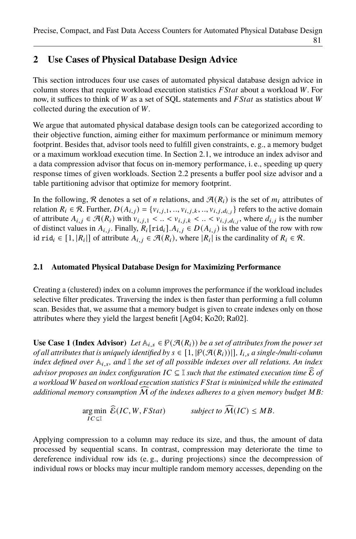# <span id="page-2-0"></span>**2 Use Cases of Physical Database Design Advice**

This section introduces four use cases of automated physical database design advice in column stores that require workload execution statistics  $FStat$  about a workload  $W$ . For now, it suffices to think of W as a set of SOL statements and  $FStat$  as statistics about W collected during the execution of  $W$ .

We argue that automated physical database design tools can be categorized according to their objective function, aiming either for maximum performance or minimum memory footprint. Besides that, advisor tools need to fulfill given constraints, e. g., a memory budget or a maximum workload execution time. In Section [2.1,](#page-2-1) we introduce an index advisor and a data compression advisor that focus on in-memory performance, i. e., speeding up query response times of given workloads. Section [2.2](#page-3-0) presents a buffer pool size advisor and a table partitioning advisor that optimize for memory footprint.

In the following, R denotes a set of n relations, and  $\mathcal{A}(R_i)$  is the set of  $m_i$  attributes of relation  $R_i \in \mathcal{R}$ . Further,  $D(A_{i,j}) = \{v_{i,j,1}, ..., v_{i,j,k}, ..., v_{i,j,d_i,j}\}$  refers to the active domain of attribute  $A_{i,j} \in \mathcal{A}(R_i)$  with  $v_{i,j,1} < ... < v_{i,j,k} < ... < v_{i,j,d_{i,j}}$ , where  $d_{i,j}$  is the number of distinct values in  $A_{i,j}$ . Finally,  $R_i$ [rid<sub>i</sub>]. $A_{i,j} \in D(A_{i,j})$  is the value of the row with row id rid<sub>i</sub>  $\in [1, |R_i|]$  of attribute  $A_{i,j} \in \mathcal{A}(R_i)$ , where  $|R_i|$  is the cardinality of  $R_i \in \mathcal{R}$ .

### <span id="page-2-1"></span>**2.1 Automated Physical Database Design for Maximizing Performance**

Creating a (clustered) index on a column improves the performance if the workload includes selective filter predicates. Traversing the index is then faster than performing a full column scan. Besides that, we assume that a memory budget is given to create indexes only on those attributes where they yield the largest benefit [Ag04; Ko20; Ra02].

**Use Case 1 (Index Advisor)** *Let*  $\mathbb{A}_{i,s} \in \mathcal{P}(\mathcal{A}(R_i))$  *be a set of attributes from the power set of all attributes that is uniquely identified by*  $s \in [1, |\mathcal{P}(\mathcal{A}(R_i))|]$ ,  $I_{i,s}$  *a single-/multi-column index defined over*  $A_{i,s}$ *, and* I *the set of all possible indexes over all relations. An index advisor proposes an index configuration*  $IC \subseteq \mathbb{I}$  such that the estimated execution time  $\widehat{\mathcal{E}}$  of *a workload* 𝑊 *based on workload execution statistics* 𝐹𝑆𝑡𝑎𝑡 *is minimized while the estimated additional memory consumption*  $\overline{M}$  *of the indexes adheres to a given memory budget*  $MB$ :

$$
\underset{IC \subseteq \mathbb{I}}{\text{arg min}} \ \widehat{\mathcal{E}}(IC, W, FStat) \qquad \text{subject to } \widehat{\mathcal{M}}(IC) \leq MB.
$$

Applying compression to a column may reduce its size, and thus, the amount of data processed by sequential scans. In contrast, compression may deteriorate the time to dereference individual row ids (e. g., during projections) since the decompression of individual rows or blocks may incur multiple random memory accesses, depending on the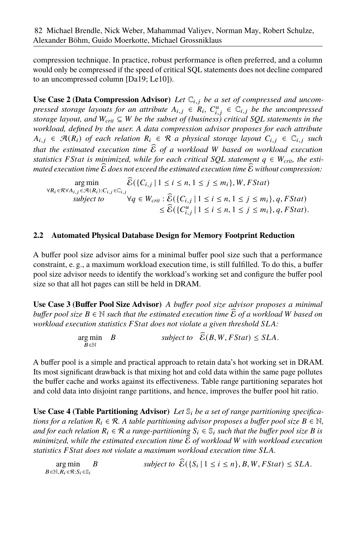compression technique. In practice, robust performance is often preferred, and a column would only be compressed if the speed of critical SQL statements does not decline compared to an uncompressed column [Da19; Le10]).

<span id="page-3-1"></span>Use Case 2 (Data Compression Advisor) Let  $\mathbb{C}_{i,j}$  be a set of compressed and uncom*pressed storage layouts for an attribute*  $A_{i,j} \in R_i$ ,  $C_{i,j}^u \in C_{i,j}$  *be the uncompressed storage layout, and*  $W_{crit} \subseteq W$  *be the subset of (business) critical SOL statements in the workload, defined by the user. A data compression advisor proposes for each attribute*  $A_{i,i} \in \mathcal{R}(R_i)$  of each relation  $R_i \in \mathcal{R}$  a physical storage layout  $C_{i,i} \in \mathcal{C}_{i,i}$  such *that the estimated execution time*  $\hat{\epsilon}$  *of a workload W based on workload execution statistics FStat is minimized, while for each critical SOL statement*  $q \in W_{\text{crit}}$ *, the esti* $m$ ated execution time  $\widehat{\mathcal{E}}$  does not exceed the estimated execution time  $\widehat{\mathcal{E}}$  without compression:

$$
\arg\min_{\forall R_i \in \mathcal{R} \forall A_{i,j} \in \mathcal{R}(R_i): C_{i,j} \in \mathbb{C}_{i,j}} \widehat{\mathcal{E}}(\{C_{i,j} \mid 1 \le i \le n, 1 \le j \le m_i\}, W, FStat)
$$
\n
$$
\text{subject to } \forall q \in W_{crit}: \widehat{\mathcal{E}}(\{C_{i,j} \mid 1 \le i \le n, 1 \le j \le m_i\}, q, FStat)
$$
\n
$$
\le \widehat{\mathcal{E}}(\{C_{i,j}^u \mid 1 \le i \le n, 1 \le j \le m_i\}, q, FStat).
$$

#### <span id="page-3-0"></span>**2.2 Automated Physical Database Design for Memory Footprint Reduction**

A buffer pool size advisor aims for a minimal buffer pool size such that a performance constraint, e. g., a maximum workload execution time, is still fulfilled. To do this, a buffer pool size advisor needs to identify the workload's working set and configure the buffer pool size so that all hot pages can still be held in DRAM.

**Use Case 3 (Buffer Pool Size Advisor)** *A buffer pool size advisor proposes a minimal buffer pool size*  $B \in \mathbb{N}$  *such that the estimated execution time*  $\widehat{\mathcal{E}}$  *of a workload* W *based on workload execution statistics FStat does not violate a given threshold SLA*:

> $arg min$  *B*  $B \in \mathbb{N}$ subject to  $\widehat{\mathcal{E}}(B, W, FStat) \leq SLA$ .

A buffer pool is a simple and practical approach to retain data's hot working set in DRAM. Its most significant drawback is that mixing hot and cold data within the same page pollutes the buffer cache and works against its effectiveness. Table range partitioning separates hot and cold data into disjoint range partitions, and hence, improves the buffer pool hit ratio.

**Use Case 4 (Table Partitioning Advisor)** *Let*  $\mathbb{S}_i$  *be a set of range partitioning specifications for a relation*  $R_i \in \mathcal{R}$ . A table partitioning advisor proposes a buffer pool size  $B \in \mathbb{N}$ , *and for each relation*  $R_i \in \mathcal{R}$  *a range-partitioning*  $S_i \in \mathcal{S}_i$  *such that the buffer pool size B is minimized, while the estimated execution time*  $\mathcal E$  *of workload* W with workload execution statistics FStat does not violate a maximum workload execution time SLA.

arg min  $B \in \mathbb{N}, R_i \in \mathcal{R}$ :  $S_i \in \mathbb{S}_i$ B subject to  $\mathcal{E}(\{S_i \mid 1 \leq i \leq n\}, B, W, FStat) \leq SLA$ .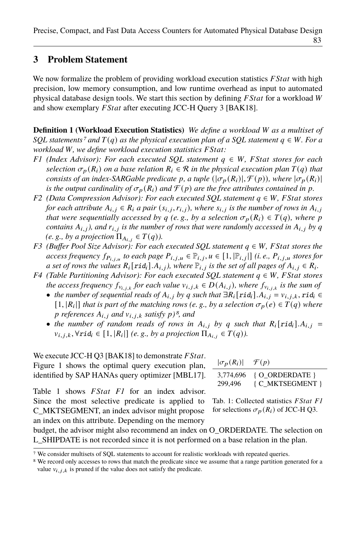### <span id="page-4-0"></span>**3 Problem Statement**

We now formalize the problem of providing workload execution statistics  $FStat$  with high precision, low memory consumption, and low runtime overhead as input to automated physical database design tools. We start this section by defining  $FStat$  for a workload  $W$ and show exemplary *F Stat* after executing JCC-H Query 3 [BAK18].

**Definition 1 (Workload Execution Statistics)** *We define a workload W as a multiset of SQL statements<sup>[7](#page-4-1)</sup> and*  $T(q)$  *as the physical execution plan of a SQL statement*  $q \in W$ *. For a workload* W, we define workload execution statistics FStat:

- <span id="page-4-3"></span>*F1* (Index Advisor): For each executed SOL statement  $q \in W$ , *FStat stores for each selection*  $\sigma_p(R_i)$  *on a base relation*  $R_i \in \mathcal{R}$  *in the physical execution plan*  $T(q)$  *that consists of an index-SARGable predicate p, a tuple*  $(|\sigma_p(R_i)|, \mathcal{F}(p))$ *, where*  $|\sigma_p(R_i)|$ *is the output cardinality of*  $\sigma_p(R_i)$  *and*  $\mathcal{F}(p)$  *are the free attributes contained in*  $p$ *.*
- <span id="page-4-5"></span>*F2* (Data Compression Advisor): For each executed SQL statement  $q \in W$ , F Stat stores *for each attribute*  $A_{i,j} \in R_i$  *a pair*  $(s_{i,j}, r_{i,j})$ *, where*  $s_{i,j}$  *is the number of rows in*  $A_{i,j}$ *that were sequentially accessed by*  $q$  (e.g., by a selection  $\sigma_p(R_i) \in T(q)$ , where p *contains*  $A_{i,j}$ , and  $r_{i,j}$  *is the number of rows that were randomly accessed in*  $A_{i,j}$  *by*  $q$ *(e. g., by a projection*  $\Pi_{A_i}$ ,  $\in T(q)$ *).*
- <span id="page-4-6"></span>*F3* (Buffer Pool Size Advisor): For each executed SQL statement  $q \in W$ , FStat stores the *access frequency*  $f_{P_{i,j,u}}$  to each page  $P_{i,j,u} \in \mathbb{P}_{i,j}, u \in [1, |\mathbb{P}_{i,j}|]$  *(i.e.,*  $P_{i,j,u}$  stores for *a set of rows the values*  $R_i$ [ $rid_i$ ]. $A_{i,j}$ , where  $\mathbb{P}_{i,j}$  is the set of all pages of  $A_{i,j} \in R_i$ .
- <span id="page-4-7"></span>*F4* (Table Partitioning Advisor): For each executed SQL statement  $q \in W$ , *FStat stores the access frequency*  $f_{v_{i,i,k}}$  *for each value*  $v_{i,j,k} \in D(A_{i,j})$ *, where*  $f_{v_{i,i,k}}$  *is the sum of* 
	- *the number of sequential reads of*  $A_{i,j}$  *by q such that*  $\exists R_i$ [rid<sub>*i*</sub>]. $A_{i,j} = v_{i,j,k}$ , rid<sub>*i*</sub> ∈  $[1, |R_i|]$  *that is part of the matching rows (e.g., by a selection*  $\sigma_p(e) \in T(q)$  *where references*  $A_{i,j}$  *and*  $v_{i,j,k}$  *satisfy*  $p$ *)<sup><i>[8](#page-4-2)*</sup>, and
	- *the number of random reads of rows in*  $A_{i,j}$  *by q such that*  $R_i$ [rid<sub>i</sub>]. $A_{i,j}$  =  $v_{i,j,k}, \forall r \text{id}_i \in [1, |R_i|]$  (e.g., by a projection  $\Pi_{A_{i,j}} \in T(q)$ ).

We execute JCC-H Q3 [BAK18] to demonstrate  $FStat$ . Figure [1](#page-5-0) shows the optimal query execution plan, identified by SAP HANAs query optimizer [MBL17].

Table [1](#page-4-4) shows *FStat [F1](#page-4-3)* for an index advisor. Since the most selective predicate is applied to C\_MKTSEGMENT, an index advisor might propose an index on this attribute. Depending on the memory

| $ \sigma_p(R_i)  \quad \mathcal{F}(p)$ |                  |
|----------------------------------------|------------------|
| 3,774,696                              | { O ORDERDATE }  |
| 299,496                                | { C_MKTSEGMENT } |

<span id="page-4-4"></span>Tab. 1: Collected statistics *FStat [F1](#page-4-3)* for selections  $\sigma_p(R_i)$  of JCC-H Q3.

budget, the advisor might also recommend an index on O\_ORDERDATE. The selection on L\_SHIPDATE is not recorded since it is not performed on a base relation in the plan.

<span id="page-4-1"></span><sup>7</sup> We consider multisets of SQL statements to account for realistic workloads with repeated queries.

<span id="page-4-2"></span><sup>&</sup>lt;sup>8</sup> We record only accesses to rows that match the predicate since we assume that a range partition generated for a value  $v_{i,j,k}$  is pruned if the value does not satisfy the predicate.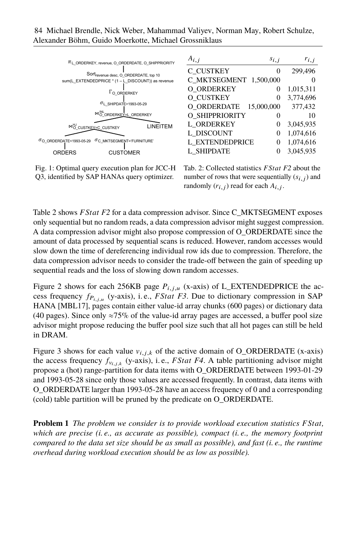<span id="page-5-0"></span>

Fig. 1: Optimal query execution plan for JCC-H Q3, identified by SAP HANAs query optimizer.

<span id="page-5-1"></span>

| $A_{i,j}$<br>$s_{i,j}$    | $r_{i,j}$ |
|---------------------------|-----------|
| C CUSTKEY<br>0            | 299,496   |
| C MKTSEGMENT<br>1,500,000 |           |
| O ORDERKEY<br>0           | 1,015,311 |
| O CUSTKEY<br>0            | 3,774,696 |
| O ORDERDATE<br>15,000,000 | 377,432   |
| O SHIPPRIORITY<br>0       | 10        |
| L ORDERKEY<br>0           | 3,045,935 |
| L DISCOUNT<br>0           | 1,074,616 |
| L EXTENDEDPRICE<br>0      | 1.074.616 |
| <b>L SHIPDATE</b><br>0    | 3,045,935 |

Tab. 2: Collected statistics *F Stat [F2](#page-4-5)* about the number of rows that were sequentially  $(s_{i,j})$  and randomly  $(r_{i,j})$  read for each  $A_{i,j}$ .

Table [2](#page-5-1) shows *F Stat [F2](#page-4-5)* for a data compression advisor. Since C\_MKTSEGMENT exposes only sequential but no random reads, a data compression advisor might suggest compression. A data compression advisor might also propose compression of O\_ORDERDATE since the amount of data processed by sequential scans is reduced. However, random accesses would slow down the time of dereferencing individual row ids due to compression. Therefore, the data compression advisor needs to consider the trade-off between the gain of speeding up sequential reads and the loss of slowing down random accesses.

Figure [2](#page-6-1) shows for each 256KB page  $P_{i,j,u}$  (x-axis) of L\_EXTENDEDPRICE the access frequency  $f_{P_{i,j,u}}$  (y-axis), i.e., *FStat [F3](#page-4-6)*. Due to dictionary compression in SAP HANA [MBL17], pages contain either value-id array chunks (600 pages) or dictionary data (40 pages). Since only  $\approx 75\%$  of the value-id array pages are accessed, a buffer pool size advisor might propose reducing the buffer pool size such that all hot pages can still be held in DRAM.

Figure [3](#page-6-2) shows for each value  $v_{i,j,k}$  of the active domain of O\_ORDERDATE (x-axis) the access frequency  $f_{v_{i,j,k}}$  (y-axis), i.e., *FStat [F4](#page-4-7)*. A table partitioning advisor might propose a (hot) range-partition for data items with O\_ORDERDATE between 1993-01-29 and 1993-05-28 since only those values are accessed frequently. In contrast, data items with O\_ORDERDATE larger than 1993-05-28 have an access frequency of 0 and a corresponding (cold) table partition will be pruned by the predicate on O\_ORDERDATE.

**Problem 1** *The problem we consider is to provide workload execution statistics FStat*, *which are precise (i. e., as accurate as possible), compact (i. e., the memory footprint compared to the data set size should be as small as possible), and fast (i. e., the runtime overhead during workload execution should be as low as possible).*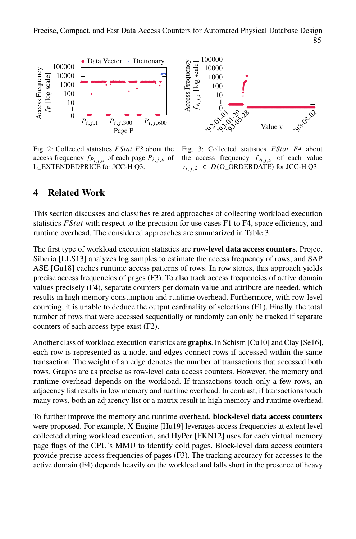<span id="page-6-1"></span>

<span id="page-6-2"></span>

Fig. 2: Collected statistics *FStat [F3](#page-4-6)* about the access frequency  $f_{P_{i,i,u}}$  of each page  $P_{i,j,u}$  of L\_EXTENDEDPRICE for JCC-H Q3.

Fig. 3: Collected statistics *FStat [F4](#page-4-7)* about the access frequency  $f_{v_{i,j,k}}$  of each value  $v_{i,j,k} \in D(O\_ORDERDATE)$  for JCC-H Q3.

### <span id="page-6-0"></span>**4 Related Work**

This section discusses and classifies related approaches of collecting workload execution statistics  $FStat$  with respect to the precision for use cases [F1](#page-4-3) to [F4,](#page-4-7) space efficiency, and runtime overhead. The considered approaches are summarized in Table [3.](#page-7-1)

The first type of workload execution statistics are **row-level data access counters**. Project Siberia [LLS13] analyzes log samples to estimate the access frequency of rows, and SAP ASE [Gu18] caches runtime access patterns of rows. In row stores, this approach yields precise access frequencies of pages [\(F3\)](#page-4-6). To also track access frequencies of active domain values precisely [\(F4\)](#page-4-7), separate counters per domain value and attribute are needed, which results in high memory consumption and runtime overhead. Furthermore, with row-level counting, it is unable to deduce the output cardinality of selections [\(F1\)](#page-4-3). Finally, the total number of rows that were accessed sequentially or randomly can only be tracked if separate counters of each access type exist [\(F2\)](#page-4-5).

Another class of workload execution statistics are **graphs**. In Schism [Cu10] and Clay [Se16], each row is represented as a node, and edges connect rows if accessed within the same transaction. The weight of an edge denotes the number of transactions that accessed both rows. Graphs are as precise as row-level data access counters. However, the memory and runtime overhead depends on the workload. If transactions touch only a few rows, an adjacency list results in low memory and runtime overhead. In contrast, if transactions touch many rows, both an adjacency list or a matrix result in high memory and runtime overhead.

To further improve the memory and runtime overhead, **block-level data access counters** were proposed. For example, X-Engine [Hu19] leverages access frequencies at extent level collected during workload execution, and HyPer [FKN12] uses for each virtual memory page flags of the CPU's MMU to identify cold pages. Block-level data access counters provide precise access frequencies of pages [\(F3\)](#page-4-6). The tracking accuracy for accesses to the active domain [\(F4\)](#page-4-7) depends heavily on the workload and falls short in the presence of heavy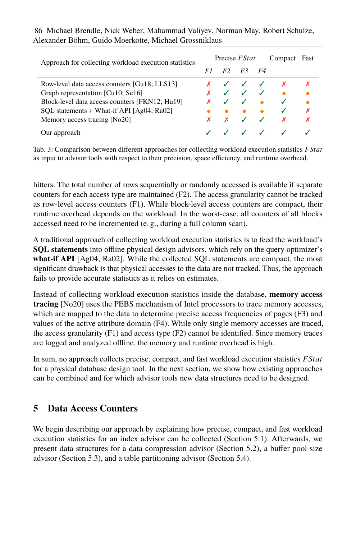<span id="page-7-1"></span>

| Approach for collecting workload execution statistics | Precise <i>FStat</i> |                |                                        |           | Compact                                  | Fast |
|-------------------------------------------------------|----------------------|----------------|----------------------------------------|-----------|------------------------------------------|------|
|                                                       | F1                   | F <sub>2</sub> | F3                                     | <i>F4</i> |                                          |      |
| Row-level data access counters [Gu18; LLS13]          |                      |                | $\checkmark$ $\checkmark$ $\checkmark$ |           |                                          |      |
| Graph representation [Cu10; Se16]                     |                      |                |                                        |           | $\checkmark$ $\checkmark$ $\checkmark$ . |      |
| Block-level data access counters [FKN12; Hu19]        |                      |                |                                        |           |                                          |      |
| SQL statements + What-if API [Ag04; Ra02]             |                      |                | $\bullet$                              |           |                                          | x    |
| Memory access tracing [No20]                          |                      | $\mathbf{x}$   | $\sqrt{2}$                             |           | X                                        |      |
| Our approach                                          |                      |                |                                        |           |                                          |      |

Alexander Böhm, Guido Moerkotte, Michael Grossniklaus 86 Michael Brendle, Nick Weber, Mahammad Valiyev, Norman May, Robert Schulze,

Tab. 3: Comparison between different approaches for collecting workload execution statistics *F Stat* as input to advisor tools with respect to their precision, space efficiency, and runtime overhead.

hitters. The total number of rows sequentially or randomly accessed is available if separate counters for each access type are maintained [\(F2\)](#page-4-5). The access granularity cannot be tracked as row-level access counters [\(F1\)](#page-4-3). While block-level access counters are compact, their runtime overhead depends on the workload. In the worst-case, all counters of all blocks accessed need to be incremented (e. g., during a full column scan).

A traditional approach of collecting workload execution statistics is to feed the workload's **SQL statements** into offline physical design advisors, which rely on the query optimizer's **what-if API** [Ag04; Ra02]. While the collected SQL statements are compact, the most significant drawback is that physical accesses to the data are not tracked. Thus, the approach fails to provide accurate statistics as it relies on estimates.

Instead of collecting workload execution statistics inside the database, **memory access tracing** [No20] uses the PEBS mechanism of Intel processors to trace memory accesses, which are mapped to the data to determine precise access frequencies of pages [\(F3\)](#page-4-6) and values of the active attribute domain [\(F4\)](#page-4-7). While only single memory accesses are traced, the access granularity  $(F1)$  and access type  $(F2)$  cannot be identified. Since memory traces are logged and analyzed offline, the memory and runtime overhead is high.

In sum, no approach collects precise, compact, and fast workload execution statistics  $FStat$ for a physical database design tool. In the next section, we show how existing approaches can be combined and for which advisor tools new data structures need to be designed.

# <span id="page-7-0"></span>**5 Data Access Counters**

We begin describing our approach by explaining how precise, compact, and fast workload execution statistics for an index advisor can be collected (Section [5.1\)](#page-8-0). Afterwards, we present data structures for a data compression advisor (Section [5.2\)](#page-9-0), a buffer pool size advisor (Section [5.3\)](#page-10-0), and a table partitioning advisor (Section [5.4\)](#page-11-0).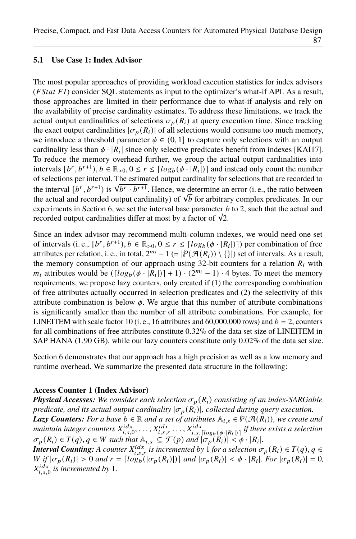#### <span id="page-8-0"></span>**5.1 Use Case 1: Index Advisor**

The most popular approaches of providing workload execution statistics for index advisors (*F Stat [F1](#page-4-3)*) consider SQL statements as input to the optimizer's what-if API. As a result, those approaches are limited in their performance due to what-if analysis and rely on the availability of precise cardinality estimates. To address these limitations, we track the actual output cardinalities of selections  $\sigma_p(R_i)$  at query execution time. Since tracking the exact output cardinalities  $|\sigma_p(R_i)|$  of all selections would consume too much memory, we introduce a threshold parameter  $\phi \in (0, 1]$  to capture only selections with an output cardinality less than  $\phi \cdot |R_i|$  since only selective predicates benefit from indexes [KAI17]. To reduce the memory overhead further, we group the actual output cardinalities into intervals  $[b^r, b^{r+1}), b \in \mathbb{R}_{>0}, 0 \le r \le \lceil log_b(\phi \cdot | R_i|) \rceil$  and instead only count the number of selections per interval. The estimated output cardinality for selections that are recorded to the interval  $[b^r, b^{r+1})$  is  $\sqrt{b^r \cdot b^{r+1}}$ . Hence, we determine an error (i. e., the ratio between the actual and recorded output cardinality) of  $\sqrt{b}$  for arbitrary complex predicates. In our experiments in Section [6,](#page-14-0) we set the interval base parameter  $b$  to 2, such that the actual and recorded output cardinalities differ at most by a factor of  $\sqrt{2}$ .

Since an index advisor may recommend multi-column indexes, we would need one set of intervals (i. e.,  $[b^r, b^{r+1}), b \in \mathbb{R}_{>0}, 0 \le r \le \lceil log_b(\phi \cdot | R_i|) \rceil$ ) per combination of free attributes per relation, i. e., in total,  $2^{m_i} - 1$  (=  $|\mathcal{P}(\mathcal{A}(R_i)) \setminus \{\}|$ ) set of intervals. As a result, the memory consumption of our approach using 32-bit counters for a relation  $R_i$  with  $m_i$  attributes would be  $(\lfloor log_b(\phi \cdot |R_i|) \rfloor + 1) \cdot (2^{m_i} - 1) \cdot 4$  bytes. To meet the memory requirements, we propose lazy counters, only created if (1) the corresponding combination of free attributes actually occurred in selection predicates and (2) the selectivity of this attribute combination is below  $\phi$ . We argue that this number of attribute combinations is significantly smaller than the number of all attribute combinations. For example, for LINEITEM with scale factor 10 (i. e., 16 attributes and 60,000,000 rows) and  $b = 2$ , counters for all combinations of free attributes constitute 0.32% of the data set size of LINEITEM in SAP HANA (1.90 GB), while our lazy counters constitute only 0.02% of the data set size.

Section [6](#page-14-0) demonstrates that our approach has a high precision as well as a low memory and runtime overhead. We summarize the presented data structure in the following:

#### <span id="page-8-1"></span>**Access Counter 1 (Index Advisor)**

*Physical Accesses: We consider each selection*  $\sigma_p(R_i)$  *consisting of an index-SARGable predicate, and its actual output cardinality*  $|\sigma_p(R_i)|$ *, collected during query execution. Lazy Counters: For a base*  $b \in \mathbb{R}$  *and a set of attributes*  $\mathbb{A}_{i,s} \in \mathcal{P}(\mathcal{A}(R_i))$ *, we create and*  $m$ aintain integer counters  $X_{i,s,0}^{idx}, \ldots, X_{i,s,r}^{idx}, \ldots, X_{i,s,[log_b(\phi \cdot | R_i|)]}^{idx}$  if there exists a selection

 $\sigma_p(R_i) \in T(q), q \in W$  such that  $\mathbb{A}_{i,s} \subseteq \mathcal{F}(p)$  and  $|\sigma_p(R_i)| < \phi \cdot |R_i|$ .

**Interval Counting:** A counter  $X_{i,s,r}^{idx}$  is incremented by 1 *for a selection*  $\sigma_p(R_i) \in T(q)$ ,  $q \in$  $W \underset{i,j}{if} |\sigma_p(R_i)| > 0$  and  $r = \lceil log_b(|\sigma_p(R_i)|) \rceil$  and  $|\sigma_p(R_i)| < \phi \cdot |R_i|$ . For  $|\sigma_p(R_i)| = 0$ ,  $X_{i,s,0}^{idx}$  is incremented by 1.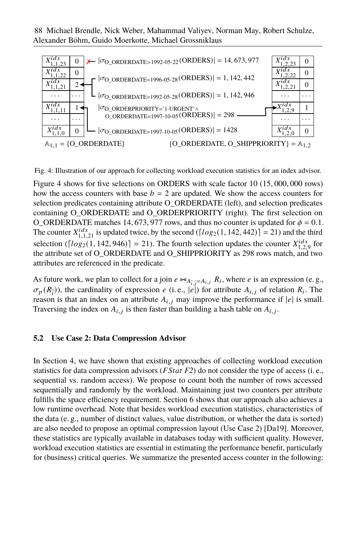Alexander Böhm, Guido Moerkotte, Michael Grossniklaus 88 Michael Brendle, Nick Weber, Mahammad Valiyev, Norman May, Robert Schulze,

<span id="page-9-1"></span>

Fig. 4: Illustration of our approach for collecting workload execution statistics for an index advisor.

Figure [4](#page-9-1) shows for five selections on ORDERS with scale factor 10 (15, 000, 000 rows) how the access counters with base  $b = 2$  are updated. We show the access counters for selection predicates containing attribute O\_ORDERDATE (left), and selection predicates containing O\_ORDERDATE and O\_ORDERPRIORITY (right). The first selection on O\_ORDERDATE matches 14, 673, 977 rows, and thus no counter is updated for  $\phi = 0.1$ . The counter  $X_{1,1,21}^{idx}$  is updated twice, by the second ([ $log_2(1, 142, 442)$ ] = 21) and the third selection ( $\lceil log_2(1, 142, 946) \rceil = 21$ ). The fourth selection updates the counter  $X_{1,2,9}^{idx}$  for the attribute set of O\_ORDERDATE and O\_SHIPPRIORITY as 298 rows match, and two attributes are referenced in the predicate.

As future work, we plan to collect for a join  $e \Join_{A_{\hat{i},\hat{j}}=A_{i,j}} R_i$ , where  $e$  is an expression (e.g.,  $\sigma_p(R_{\hat{i}})$ , the cardinality of expression *e* (i.e., |*e*|) for attribute  $A_{i,j}$  of relation  $R_i$ . The reason is that an index on an attribute  $A_{i,j}$  may improve the performance if  $|e|$  is small. Traversing the index on  $A_{i,j}$  is then faster than building a hash table on  $A_{i,j}$ .

#### <span id="page-9-0"></span>**5.2 Use Case 2: Data Compression Advisor**

<span id="page-9-2"></span>In Section [4,](#page-6-0) we have shown that existing approaches of collecting workload execution statistics for data compression advisors ( $FStat F2$  $FStat F2$ ) do not consider the type of access (i. e., sequential vs. random access). We propose to count both the number of rows accessed sequentially and randomly by the workload. Maintaining just two counters per attribute fulfills the space efficiency requirement. Section [6](#page-14-0) shows that our approach also achieves a low runtime overhead. Note that besides workload execution statistics, characteristics of the data (e. g., number of distinct values, value distribution, or whether the data is sorted) are also needed to propose an optimal compression layout (Use Case [2\)](#page-3-1) [Da19]. Moreover, these statistics are typically available in databases today with sufficient quality. However, workload execution statistics are essential in estimating the performance benefit, particularly for (business) critical queries. We summarize the presented access counter in the following: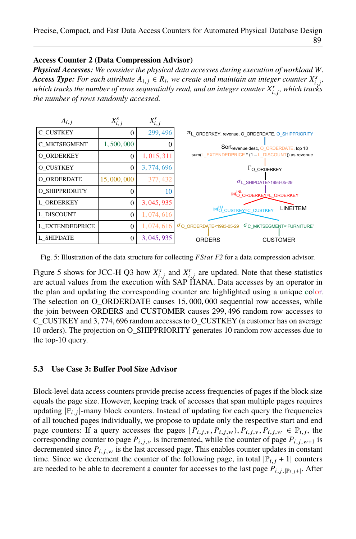#### **Access Counter 2 (Data Compression Advisor)**

**Physical Accesses:** We consider the physical data accesses during execution of workload W. *Access Type: For each attribute*  $A_{i,j} \in R_i$ , we create and maintain an integer counter  $X^s_{i,j}$ , which tracks the number of rows sequentially read, and an integer counter  $X_{i,j}^r$ , which tracks *the number of rows randomly accessed.*

<span id="page-10-1"></span>

| $A_{i,j}$         | $X_{i,j}^s$ | $X_{i,j}^r$ |                                                                      |
|-------------------|-------------|-------------|----------------------------------------------------------------------|
| C CUSTKEY         | 0           | 299,496     | $\pi$ <sub>L</sub> ORDERKEY, revenue, O ORDERDATE, O SHIPPRIORITY    |
| C MKTSEGMENT      | 1,500,000   | O           | Sort <sub>revenue</sub> desc, O_ORDERDATE, top 10                    |
| O ORDERKEY        | 0           | 1, 015, 311 | sum(L EXTENDEDPRICE * (1 - L DISCOUNT)) as revenue                   |
| O CUSTKEY         | 0           | 3,774,696   | $\Gamma$ O ORDERKEY                                                  |
| O ORDERDATE       | 15,000,000  | 377, 432    | $\sigma$ <sub>L</sub> SHIPDATE>1993-05-29                            |
| O SHIPPRIORITY    |             | 10          | MO ORDERKEY - L_ORDERKEY                                             |
| <b>L ORDERKEY</b> | 0           | 3, 045, 935 | <b>LINEITEM</b>                                                      |
| L DISCOUNT        | $\Omega$    | 1,074,616   | $M_O^H$ CUSTKEY=C_CUSTKEY                                            |
| L EXTENDEDPRICE   |             | 1,074,616   | $\sigma$ O ORDERDATE<1993-05-29<br>$\sigma$ C MKTSEGMENT='FURNITURE' |
| L SHIPDATE        | 0           | 3, 045, 935 | <b>ORDERS</b><br><b>CUSTOMER</b>                                     |

Fig. 5: Illustration of the data structure for collecting *FStat [F2](#page-4-5)* for a data compression advisor.

Figure [5](#page-10-1) shows for JCC-H Q3 how  $X_{i,j}^s$  and  $X_{i,j}^r$  are updated. Note that these statistics are actual values from the execution with SAP HANA. Data accesses by an operator in the plan and updating the corresponding counter are highlighted using a unique color. The selection on O\_ORDERDATE causes 15, 000, 000 sequential row accesses, while the join between ORDERS and CUSTOMER causes 299, 496 random row accesses to C\_CUSTKEY and 3, 774, 696 random accesses to O\_CUSTKEY (a customer has on average 10 orders). The projection on O\_SHIPPRIORITY generates 10 random row accesses due to the top-10 query.

#### <span id="page-10-0"></span>**5.3 Use Case 3: Buffer Pool Size Advisor**

Block-level data access counters provide precise access frequencies of pages if the block size equals the page size. However, keeping track of accesses that span multiple pages requires updating  $|\mathbb{P}_{i,j}|$ -many block counters. Instead of updating for each query the frequencies of all touched pages individually, we propose to update only the respective start and end page counters: If a query accesses the pages  $[P_{i,j,v}, P_{i,j,v}, P_{i,j,v}, P_{i,j,w} \in \mathbb{P}_{i,j}$ , the corresponding counter to page  $P_{i,j,v}$  is incremented, while the counter of page  $P_{i,j,w+1}$  is decremented since  $P_{i,j,w}$  is the last accessed page. This enables counter updates in constant time. Since we decrement the counter of the following page, in total  $|\mathbb{P}_{i,j} + 1|$  counters are needed to be able to decrement a counter for accesses to the last page  $P_{i,j, |\mathbb{P}_i|, j+1}$ . After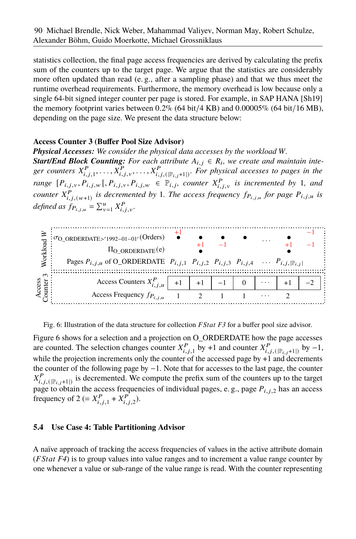statistics collection, the final page access frequencies are derived by calculating the prefix sum of the counters up to the target page. We argue that the statistics are considerably more often updated than read (e. g., after a sampling phase) and that we thus meet the runtime overhead requirements. Furthermore, the memory overhead is low because only a single 64-bit signed integer counter per page is stored. For example, in SAP HANA [Sh19] the memory footprint varies between  $0.2\%$  (64 bit/4 KB) and  $0.00005\%$  (64 bit/16 MB), depending on the page size. We present the data structure below:

### <span id="page-11-2"></span>**Access Counter 3 (Buffer Pool Size Advisor)**

**Physical Accesses:** We consider the physical data accesses by the workload W. *Start/End Block Counting: For each attribute*  $A_{i,j} \in R_i$ , we create and maintain integer counters  $X_{i,j,1}^P, \ldots, X_{i,j,\nu}^P, \ldots, X_{i,j,(\lvert \mathbb{P}_{i,j}+1 \rvert)}^P$ . For physical accesses to pages in the *range*  $[P_{i,j,v}, P_{i,j,w}$  [*, P<sub>i,j,v</sub>, P<sub>i,j,w</sub>*  $\in \mathbb{P}_{i,j}$ *, counter*  $X_{i,j,v}^P$  *is incremented by* 1*, and counter*  $X_{i,j,(w+1)}^P$  *is decremented by* 1*. The access frequency*  $f_{P_{i,j,u}}$  *for page*  $P_{i,j,u}$  *is defined as*  $f_{P_{i,j,u}} = \sum_{v=1}^{u} X_{i,j,v}^{P}$ *.* 

<span id="page-11-1"></span>

Fig. 6: Illustration of the data structure for collection *F Stat [F3](#page-4-6)* for a buffer pool size advisor.

Figure [6](#page-11-1) shows for a selection and a projection on O\_ORDERDATE how the page accesses are counted. The selection changes counter  $X_{i,j,1}^P$  by +1 and counter  $X_{i,j, (|\mathbb{P}_{i,j+1}|)}^P$  by -1, while the projection increments only the counter of the accessed page by  $+1$  and decrements the counter of the following page by −1. Note that for accesses to the last page, the counter  $X_{i,j,(\mathbb{P}_{i,j+1}|)}^P$  is decremented. We compute the prefix sum of the counters up to the target page to obtain the access frequencies of individual pages, e.g., page  $P_{i,j,2}$  has an access frequency of 2 (=  $X_{i,j,1}^P + X_{i,j,2}^P$ ).

### <span id="page-11-0"></span>**5.4 Use Case 4: Table Partitioning Advisor**

A naïve approach of tracking the access frequencies of values in the active attribute domain (*FStat [F4](#page-4-7)*) is to group values into value ranges and to increment a value range counter by one whenever a value or sub-range of the value range is read. With the counter representing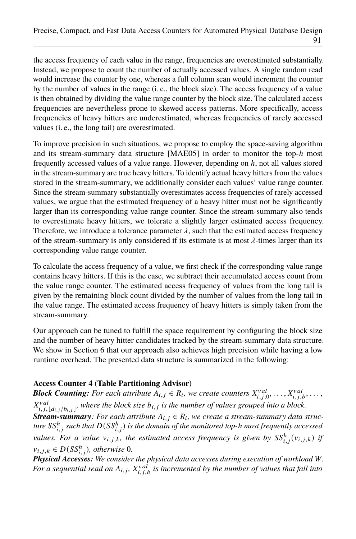the access frequency of each value in the range, frequencies are overestimated substantially. Instead, we propose to count the number of actually accessed values. A single random read would increase the counter by one, whereas a full column scan would increment the counter by the number of values in the range (i. e., the block size). The access frequency of a value is then obtained by dividing the value range counter by the block size. The calculated access frequencies are nevertheless prone to skewed access patterns. More specifically, access frequencies of heavy hitters are underestimated, whereas frequencies of rarely accessed values (i. e., the long tail) are overestimated.

To improve precision in such situations, we propose to employ the space-saving algorithm and its stream-summary data structure  $[MAE05]$  in order to monitor the top- $h$  most frequently accessed values of a value range. However, depending on  $h$ , not all values stored in the stream-summary are true heavy hitters. To identify actual heavy hitters from the values stored in the stream-summary, we additionally consider each values' value range counter. Since the stream-summary substantially overestimates access frequencies of rarely accessed values, we argue that the estimated frequency of a heavy hitter must not be significantly larger than its corresponding value range counter. Since the stream-summary also tends to overestimate heavy hitters, we tolerate a slightly larger estimated access frequency. Therefore, we introduce a tolerance parameter  $\lambda$ , such that the estimated access frequency of the stream-summary is only considered if its estimate is at most  $\lambda$ -times larger than its corresponding value range counter.

To calculate the access frequency of a value, we first check if the corresponding value range contains heavy hitters. If this is the case, we subtract their accumulated access count from the value range counter. The estimated access frequency of values from the long tail is given by the remaining block count divided by the number of values from the long tail in the value range. The estimated access frequency of heavy hitters is simply taken from the stream-summary.

Our approach can be tuned to fulfill the space requirement by configuring the block size and the number of heavy hitter candidates tracked by the stream-summary data structure. We show in Section [6](#page-14-0) that our approach also achieves high precision while having a low runtime overhead. The presented data structure is summarized in the following:

### <span id="page-12-0"></span>**Access Counter 4 (Table Partitioning Advisor)**

*Block Counting: For each attribute*  $A_{i,j} \in R_i$ , we create counters  $X_{i,j,0}^{val}, \ldots, X_{i,j,b}^{val}, \ldots$ ,  $X_{i,j,\lfloor d_{i,j}/b_{i,j}\rfloor}^{val}$ , where the block size  $b_{i,j}$  is the number of values grouped into a block.

*Stream-summary: For each attribute*  $A_{i,j} \in R_i$ , we create a stream-summary data struc*ture* 𝑆𝑆<sup>ℎ</sup> 𝑖, 𝑗 *such that* <sup>𝐷</sup>(𝑆𝑆<sup>ℎ</sup> 𝑖, 𝑗) *is the domain of the monitored top-*ℎ *most frequently accessed values. For a value*  $v_{i,j,k}$ , the estimated access frequency is given by  $SS_{i,j}^{h}(v_{i,j,k})$  if  $v_{i,j,k} \in D(SS_{i,j}^h)$ , otherwise 0.

**Physical Accesses:** We consider the physical data accesses during execution of workload W. For a sequential read on  $A_{i,j}$ ,  $X_{i,j,b}^{val}$  is incremented by the number of values that fall into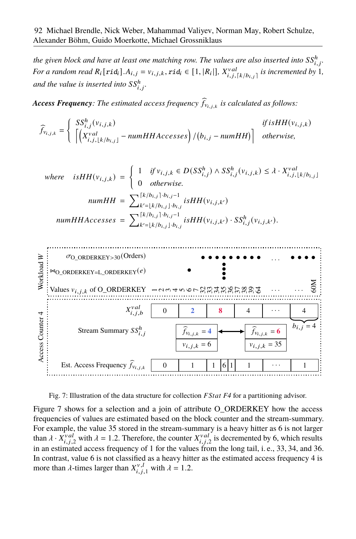the given block and have at least one matching row. The values are also inserted into  $\mathcal{S}_{i,j}^h$ . *For a random read*  $R_i$  [ $rid_i$ ]. $A_{i,j} = v_{i,j,k}$ ,  $rid_i \in [1, |R_i|]$ ,  $X_{i,j,[k/b_{i,j}]}^{val}$  is incremented by 1, and the value is inserted into  $\mathrm{SS}^h_{i,j}$ .

*Access Frequency: The estimated access frequency*  $\widehat{f}_{v_{i,j,k}}$  *is calculated as follows:* 

$$
\widehat{f}_{v_{i,j,k}} = \begin{cases}\nSS_{i,j}^h(v_{i,j,k}) & \text{if isHH}(v_{i,j,k}) \\
\left[\left(X_{i,j,\lfloor k/b_{i,j}\rfloor}^{val} - \textit{numHHAccesses}\right) / (b_{i,j} - \textit{numHH})\right] & \text{otherwise,} \n\end{cases}
$$

where is 
$$
HH(v_{i,j,k}) = \begin{cases} 1 & \text{if } v_{i,j,k} \in D(SS_{i,j}^h) \land SS_{i,j}^h(v_{i,j,k}) \leq \lambda \cdot X_{i,j,\lfloor k/b_{i,j} \rfloor}^{val} \\ 0 & \text{otherwise.} \end{cases}
$$
  
\n
$$
numHH = \sum_{k'= \lfloor k/b_{i,j} \rfloor}^{[k/b_{i,j}] \cdot b_{i,j}-1} \text{isHH}(v_{i,j,k'})
$$
  
\n
$$
numHHAccesses = \sum_{k'= \lfloor k/b_{i,j} \rfloor}^{[k/b_{i,j}] \cdot b_{i,j}-1} \text{isHH}(v_{i,j,k'}) \cdot SS_{i,j}^h(v_{i,j,k'}).
$$

<span id="page-13-0"></span>

Fig. 7: Illustration of the data structure for collection *F Stat [F4](#page-4-7)* for a partitioning advisor.

Figure [7](#page-13-0) shows for a selection and a join of attribute O\_ORDERKEY how the access frequencies of values are estimated based on the block counter and the stream-summary. For example, the value 35 stored in the stream-summary is a heavy hitter as 6 is not larger than  $\lambda \cdot X_{i,j,2}^{val}$  with  $\lambda = 1.2$ . Therefore, the counter  $X_{i,j,2}^{val}$  is decremented by 6, which results in an estimated access frequency of 1 for the values from the long tail, i. e., 33, 34, and 36. In contrast, value 6 is not classified as a heavy hitter as the estimated access frequency 4 is more than  $\lambda$ -times larger than  $X_{i,i}^{\nu,l}$  $j_{i,j,1}^{\nu,\ell}$  with  $\lambda = 1.2$ .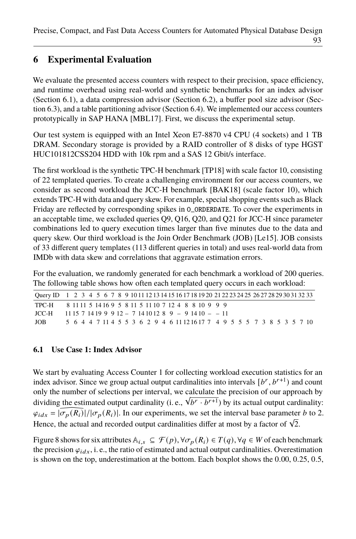# <span id="page-14-0"></span>**6 Experimental Evaluation**

We evaluate the presented access counters with respect to their precision, space efficiency, and runtime overhead using real-world and synthetic benchmarks for an index advisor (Section [6.1\)](#page-14-1), a data compression advisor (Section [6.2\)](#page-15-0), a buffer pool size advisor (Section [6.3\)](#page-16-0), and a table partitioning advisor (Section [6.4\)](#page-16-1). We implemented our access counters prototypically in SAP HANA [MBL17]. First, we discuss the experimental setup.

Our test system is equipped with an Intel Xeon E7-8870 v4 CPU (4 sockets) and 1 TB DRAM. Secondary storage is provided by a RAID controller of 8 disks of type HGST HUC101812CSS204 HDD with 10k rpm and a SAS 12 Gbit/s interface.

The first workload is the synthetic TPC-H benchmark [TP18] with scale factor 10, consisting of 22 templated queries. To create a challenging environment for our access counters, we consider as second workload the JCC-H benchmark [BAK18] (scale factor 10), which extends TPC-H with data and query skew. For example, special shopping events such as Black Friday are reflected by corresponding spikes in O\_ORDERDATE. To cover the experiments in an acceptable time, we excluded queries Q9, Q16, Q20, and Q21 for JCC-H since parameter combinations led to query execution times larger than five minutes due to the data and query skew. Our third workload is the Join Order Benchmark (JOB) [Le15]. JOB consists of 33 different query templates (113 different queries in total) and uses real-world data from IMDb with data skew and correlations that aggravate estimation errors.

For the evaluation, we randomly generated for each benchmark a workload of 200 queries. The following table shows how often each templated query occurs in each workload:

|      | Ouery ID 1 2 3 4 5 6 7 8 9 10 11 12 13 14 15 16 17 18 19 20 21 22 23 24 25 26 27 28 29 30 31 32 33 |  |
|------|----------------------------------------------------------------------------------------------------|--|
|      | TPC-H 8 11 11 5 14 16 9 5 8 11 5 11 10 7 12 4 8 8 10 9 9 9                                         |  |
|      | $ICC-H$ 11.15.7 14.19.9.9.12 - 7.14.10.12.8.9 - 9.14.10 - -11                                      |  |
| JOB. | 5 6 4 4 7 11 4 5 5 3 6 2 9 4 6 11 12 16 17 7 4 9 5 5 5 7 3 8 5 3 5 7 10                            |  |

#### <span id="page-14-1"></span>**6.1 Use Case 1: Index Advisor**

We start by evaluating Access Counter [1](#page-8-1) for collecting workload execution statistics for an index advisor. Since we group actual output cardinalities into intervals  $[b^r, b^{r+1})$  and count only the number of selections per interval, we calculate the precision of our approach by dividing the estimated output cardinality (i. e.,  $\sqrt{b^r \cdot b^{r+1}}$ ) by its actual output cardinality:  $\varphi_{idx} = |\widehat{\sigma_p(R_i)}|/|\sigma_p(R_i)|$ . In our experiments, we set the interval base parameter *b* to 2. Hence, the actual and recorded output cardinalities differ at most by a factor of  $\sqrt{2}$ .

Figure [8](#page-15-1) shows for six attributes  $\mathbb{A}_{i,s} \subseteq \mathcal{F}(p), \forall \sigma_p(R_i) \in T(q), \forall q \in W$  of each benchmark the precision  $\varphi_{i,dx}$ , i. e., the ratio of estimated and actual output cardinalities. Overestimation is shown on the top, underestimation at the bottom. Each boxplot shows the 0.00, 0.25, 0.5,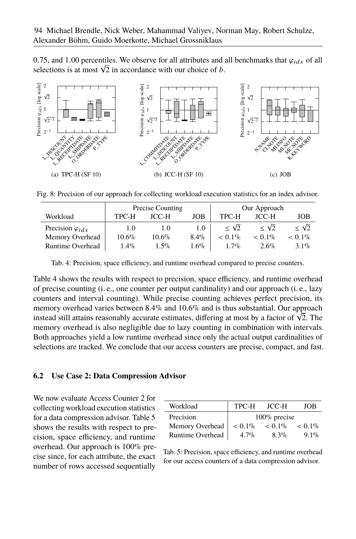0.75, and 1.00 percentiles. We observe for all attributes and all benchmarks that  $\varphi_{i,dx}$  of all selections is at most  $\sqrt{2}$  in accordance with our choice of *b*.

<span id="page-15-1"></span>

<span id="page-15-2"></span>Fig. 8: Precision of our approach for collecting workload execution statistics for an index advisor.

|                           |          | Precise Counting |         |                            | Our Approach               |                            |
|---------------------------|----------|------------------|---------|----------------------------|----------------------------|----------------------------|
| Workload                  | TPC-H    | <b>JCC-H</b>     | JOB     | TPC-H                      | <b>JCC-H</b>               | JOB                        |
| Precision $\varphi_{idx}$ | 1.0      | 1.0              | 1.0     | $\langle \sqrt{2} \rangle$ | $\langle \sqrt{2} \rangle$ | $\langle \sqrt{2} \rangle$ |
| Memory Overhead           | $10.6\%$ | $10.6\%$         | $8.4\%$ | $< 0.1\%$                  | $< 0.1\%$                  | $< 0.1\%$                  |
| <b>Runtime Overhead</b>   | $1.4\%$  | $1.5\%$          | $1.6\%$ | $1.7\%$                    | $2.6\%$                    | $3.1\%$                    |

Tab. 4: Precision, space efficiency, and runtime overhead compared to precise counters.

Table [4](#page-15-2) shows the results with respect to precision, space efficiency, and runtime overhead of precise counting (i. e., one counter per output cardinality) and our approach (i. e., lazy counters and interval counting). While precise counting achieves perfect precision, its memory overhead varies between 8.4% and 10.6% and is thus substantial. Our approach instead still attains reasonably accurate estimates, differing at most by a factor of  $\sqrt{2}$ . The memory overhead is also negligible due to lazy counting in combination with intervals. Both approaches yield a low runtime overhead since only the actual output cardinalities of selections are tracked. We conclude that our access counters are precise, compact, and fast.

#### <span id="page-15-0"></span>**6.2 Use Case 2: Data Compression Advisor**

We now evaluate Access Counter [2](#page-9-2) for collecting workload execution statistics for a data compression advisor. Table [5](#page-15-3) shows the results with respect to precision, space efficiency, and runtime overhead. Our approach is 100% precise since, for each attribute, the exact number of rows accessed sequentially

| Workload                | TPC-H     | JCC-H           | JOB       |
|-------------------------|-----------|-----------------|-----------|
| Precision               |           | $100\%$ precise |           |
| Memory Overhead         | $< 0.1\%$ | $< 0.1\%$       | $< 0.1\%$ |
| <b>Runtime Overhead</b> | $4.7\%$   | $8.3\%$         | $9.1\%$   |

<span id="page-15-3"></span>Tab. 5: Precision, space efficiency, and runtime overhead for our access counters of a data compression advisor.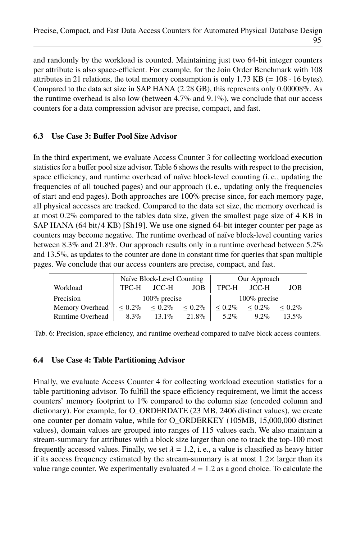and randomly by the workload is counted. Maintaining just two 64-bit integer counters per attribute is also space-efficient. For example, for the Join Order Benchmark with 108 attributes in 21 relations, the total memory consumption is only 1.73 KB (=  $108 \cdot 16$  bytes). Compared to the data set size in SAP HANA (2.28 GB), this represents only 0.00008%. As the runtime overhead is also low (between  $4.7\%$  and  $9.1\%$ ), we conclude that our access counters for a data compression advisor are precise, compact, and fast.

### <span id="page-16-0"></span>**6.3 Use Case 3: Buffer Pool Size Advisor**

In the third experiment, we evaluate Access Counter [3](#page-11-2) for collecting workload execution statistics for a buffer pool size advisor. Table [6](#page-16-2) shows the results with respect to the precision, space efficiency, and runtime overhead of naïve block-level counting (i. e., updating the frequencies of all touched pages) and our approach (i. e., updating only the frequencies of start and end pages). Both approaches are 100% precise since, for each memory page, all physical accesses are tracked. Compared to the data set size, the memory overhead is at most 0.2% compared to the tables data size, given the smallest page size of 4 KB in SAP HANA  $(64 \text{ bit}/4 \text{ KB})$  [Sh<sub>19</sub>]. We use one signed 64-bit integer counter per page as counters may become negative. The runtime overhead of naïve block-level counting varies between 8.3% and 21.8%. Our approach results only in a runtime overhead between 5.2% and 13.5%, as updates to the counter are done in constant time for queries that span multiple pages. We conclude that our access counters are precise, compact, and fast.

<span id="page-16-2"></span>

|                         |           | Naïve Block-Level Counting |             |             | Our Approach    |              |
|-------------------------|-----------|----------------------------|-------------|-------------|-----------------|--------------|
| Workload                | TPC-H     | JCC-H                      | JOB         | TPC-H       | JCC-H           | JOB          |
| Precision               |           | $100\%$ precise            |             |             | $100\%$ precise |              |
| Memory Overhead         | $< 0.2\%$ | $~< 0.2\%$                 | ${}< 0.2\%$ | ${}< 0.2\%$ | ${}< 0.2\%$     | ${}_{0.2\%}$ |
| <b>Runtime Overhead</b> | $8.3\%$   | $13.1\%$                   | $21.8\%$    | $5.2\%$     | $9.2\%$         | $13.5\%$     |

Tab. 6: Precision, space efficiency, and runtime overhead compared to naïve block access counters.

#### <span id="page-16-1"></span>**6.4 Use Case 4: Table Partitioning Advisor**

Finally, we evaluate Access Counter [4](#page-12-0) for collecting workload execution statistics for a table partitioning advisor. To fulfill the space efficiency requirement, we limit the access counters' memory footprint to 1% compared to the column size (encoded column and dictionary). For example, for O\_ORDERDATE (23 MB, 2406 distinct values), we create one counter per domain value, while for O\_ORDERKEY (105MB, 15,000,000 distinct values), domain values are grouped into ranges of 115 values each. We also maintain a stream-summary for attributes with a block size larger than one to track the top-100 most frequently accessed values. Finally, we set  $\lambda = 1.2$ , i.e., a value is classified as heavy hitter if its access frequency estimated by the stream-summary is at most  $1.2 \times$  larger than its value range counter. We experimentally evaluated  $\lambda = 1.2$  as a good choice. To calculate the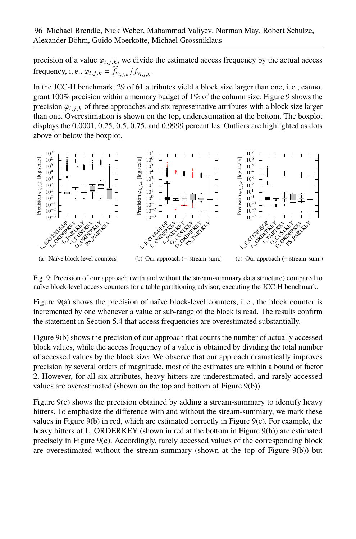precision of a value  $\varphi_{i,j,k}$ , we divide the estimated access frequency by the actual access frequency, i. e.,  $\varphi_{i,j,k} = \widehat{f}_{v_{i,j,k}}/f_{v_{i,j,k}}$ .

In the JCC-H benchmark, 29 of 61 attributes yield a block size larger than one, i. e., cannot grant 100% precision within a memory budget of 1% of the column size. Figure [9](#page-17-0) shows the precision  $\varphi_{i,j,k}$  of three approaches and six representative attributes with a block size larger than one. Overestimation is shown on the top, underestimation at the bottom. The boxplot displays the 0.0001, 0.25, 0.5, 0.75, and 0.9999 percentiles. Outliers are highlighted as dots above or below the boxplot.

<span id="page-17-1"></span><span id="page-17-0"></span>

<span id="page-17-3"></span><span id="page-17-2"></span>Fig. 9: Precision of our approach (with and without the stream-summary data structure) compared to naïve block-level access counters for a table partitioning advisor, executing the JCC-H benchmark.

Figure [9\(a\)](#page-17-1) shows the precision of naïve block-level counters, i. e., the block counter is incremented by one whenever a value or sub-range of the block is read. The results confirm the statement in Section [5.4](#page-11-0) that access frequencies are overestimated substantially.

Figure [9\(b\)](#page-17-2) shows the precision of our approach that counts the number of actually accessed block values, while the access frequency of a value is obtained by dividing the total number of accessed values by the block size. We observe that our approach dramatically improves precision by several orders of magnitude, most of the estimates are within a bound of factor 2. However, for all six attributes, heavy hitters are underestimated, and rarely accessed values are overestimated (shown on the top and bottom of Figure [9\(b\)\)](#page-17-2).

Figure [9\(c\)](#page-17-3) shows the precision obtained by adding a stream-summary to identify heavy hitters. To emphasize the difference with and without the stream-summary, we mark these values in Figure [9\(b\)](#page-17-2) in red, which are estimated correctly in Figure [9\(c\).](#page-17-3) For example, the heavy hitters of L\_ORDERKEY (shown in red at the bottom in Figure [9\(b\)\)](#page-17-2) are estimated precisely in Figure [9\(c\).](#page-17-3) Accordingly, rarely accessed values of the corresponding block are overestimated without the stream-summary (shown at the top of Figure [9\(b\)\)](#page-17-2) but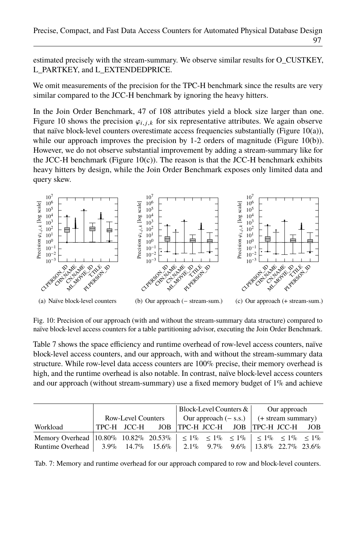estimated precisely with the stream-summary. We observe similar results for O\_CUSTKEY, L\_PARTKEY, and L\_EXTENDEDPRICE.

We omit measurements of the precision for the TPC-H benchmark since the results are very similar compared to the JCC-H benchmark by ignoring the heavy hitters.

In the Join Order Benchmark, 47 of 108 attributes yield a block size larger than one. Figure [10](#page-18-0) shows the precision  $\varphi_{i,j,k}$  for six representative attributes. We again observe that naïve block-level counters overestimate access frequencies substantially (Figure [10\(a\)\)](#page-18-1), while our approach improves the precision by 1-2 orders of magnitude (Figure [10\(b\)\)](#page-18-2). However, we do not observe substantial improvement by adding a stream-summary like for the JCC-H benchmark (Figure [10\(c\)\)](#page-18-3). The reason is that the JCC-H benchmark exhibits heavy hitters by design, while the Join Order Benchmark exposes only limited data and query skew.

<span id="page-18-1"></span><span id="page-18-0"></span>

<span id="page-18-3"></span><span id="page-18-2"></span>Fig. 10: Precision of our approach (with and without the stream-summary data structure) compared to naïve block-level access counters for a table partitioning advisor, executing the Join Order Benchmark.

Table [7](#page-18-4) shows the space efficiency and runtime overhead of row-level access counters, naïve block-level access counters, and our approach, with and without the stream-summary data structure. While row-level data access counters are 100% precise, their memory overhead is high, and the runtime overhead is also notable. In contrast, naïve block-level access counters and our approach (without stream-summary) use a fixed memory budget of  $1\%$  and achieve

<span id="page-18-4"></span>

|                                                                                                       |                           |                                                 | Block-Level Counters $\&$ |                                                |  | Our approach |  |
|-------------------------------------------------------------------------------------------------------|---------------------------|-------------------------------------------------|---------------------------|------------------------------------------------|--|--------------|--|
|                                                                                                       | <b>Row-Level Counters</b> |                                                 |                           | Our approach $(-s.s.)$ $(+)$ + stream summary) |  |              |  |
| Workload                                                                                              |                           | TPC-H JCC-H JOB TPC-H JCC-H JOB TPC-H JCC-H JOB |                           |                                                |  |              |  |
| Memory Overhead 10.80% 10.82% 20.53% $\leq 1\% \leq 1\% \leq 1\% \leq 1\% \leq 1\% \leq 1\% \leq 1\%$ |                           |                                                 |                           |                                                |  |              |  |
| Runtime Overhead   3.9% 14.7% 15.6%   2.1% 9.7% 9.6%   13.8% 22.7% 23.6%                              |                           |                                                 |                           |                                                |  |              |  |

Tab. 7: Memory and runtime overhead for our approach compared to row and block-level counters.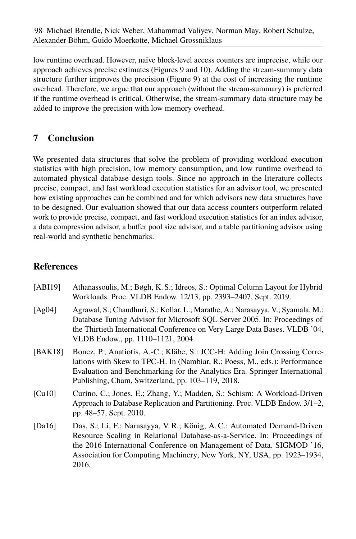low runtime overhead. However, naïve block-level access counters are imprecise, while our approach achieves precise estimates (Figures [9](#page-17-0) and [10\)](#page-18-0). Adding the stream-summary data structure further improves the precision (Figure [9\)](#page-17-0) at the cost of increasing the runtime overhead. Therefore, we argue that our approach (without the stream-summary) is preferred if the runtime overhead is critical. Otherwise, the stream-summary data structure may be added to improve the precision with low memory overhead.

# **7 Conclusion**

We presented data structures that solve the problem of providing workload execution statistics with high precision, low memory consumption, and low runtime overhead to automated physical database design tools. Since no approach in the literature collects precise, compact, and fast workload execution statistics for an advisor tool, we presented how existing approaches can be combined and for which advisors new data structures have to be designed. Our evaluation showed that our data access counters outperform related work to provide precise, compact, and fast workload execution statistics for an index advisor, a data compression advisor, a buffer pool size advisor, and a table partitioning advisor using real-world and synthetic benchmarks.

# **References**

| [ABI19] | Athanassoulis, M.; Bøgh, K. S.; Idreos, S.: Optimal Column Layout for Hybrid<br>Workloads. Proc. VLDB Endow. 12/13, pp. 2393-2407, Sept. 2019.                                                                                                                                                                |
|---------|---------------------------------------------------------------------------------------------------------------------------------------------------------------------------------------------------------------------------------------------------------------------------------------------------------------|
| [Ag04]  | Agrawal, S.; Chaudhuri, S.; Kollar, L.; Marathe, A.; Narasayya, V.; Syamala, M.:<br>Database Tuning Advisor for Microsoft SQL Server 2005. In: Proceedings of<br>the Thirtieth International Conference on Very Large Data Bases. VLDB '04,<br>VLDB Endow., pp. 1110-1121, 2004.                              |
| [BAK18] | Boncz, P.; Anatiotis, A.-C.; Kläbe, S.: JCC-H: Adding Join Crossing Corre-<br>lations with Skew to TPC-H. In (Nambiar, R.; Poess, M., eds.): Performance<br>Evaluation and Benchmarking for the Analytics Era. Springer International<br>Publishing, Cham, Switzerland, pp. 103–119, 2018.                    |
| [Cu10]  | Curino, C.; Jones, E.; Zhang, Y.; Madden, S.: Schism: A Workload-Driven<br>Approach to Database Replication and Partitioning. Proc. VLDB Endow. 3/1–2,<br>pp. 48–57, Sept. 2010.                                                                                                                              |
| [Da16]  | Das, S.; Li, F.; Narasayya, V.R.; König, A.C.: Automated Demand-Driven<br>Resource Scaling in Relational Database-as-a-Service. In: Proceedings of<br>the 2016 International Conference on Management of Data. SIGMOD '16,<br>Association for Computing Machinery, New York, NY, USA, pp. 1923-1934,<br>2016. |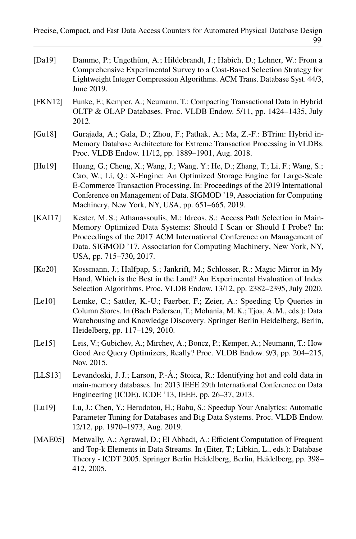| [Da19] | Damme, P.; Ungethüm, A.; Hildebrandt, J.; Habich, D.; Lehner, W.: From a    |
|--------|-----------------------------------------------------------------------------|
|        | Comprehensive Experimental Survey to a Cost-Based Selection Strategy for    |
|        | Lightweight Integer Compression Algorithms. ACM Trans. Database Syst. 44/3. |
|        | June 2019.                                                                  |

- [FKN12] Funke, F.; Kemper, A.; Neumann, T.: Compacting Transactional Data in Hybrid OLTP & OLAP Databases. Proc. VLDB Endow. 5/11, pp. 1424–1435, July 2012.
- [Gu18] Gurajada, A.; Gala, D.; Zhou, F.; Pathak, A.; Ma, Z.-F.: BTrim: Hybrid in-Memory Database Architecture for Extreme Transaction Processing in VLDBs. Proc. VLDB Endow. 11/12, pp. 1889–1901, Aug. 2018.
- [Hu19] Huang, G.; Cheng, X.; Wang, J.; Wang, Y.; He, D.; Zhang, T.; Li, F.; Wang, S.; Cao, W.; Li, Q.: X-Engine: An Optimized Storage Engine for Large-Scale E-Commerce Transaction Processing. In: Proceedings of the 2019 International Conference on Management of Data. SIGMOD '19, Association for Computing Machinery, New York, NY, USA, pp. 651–665, 2019.
- [KAI17] Kester, M. S.; Athanassoulis, M.; Idreos, S.: Access Path Selection in Main-Memory Optimized Data Systems: Should I Scan or Should I Probe? In: Proceedings of the 2017 ACM International Conference on Management of Data. SIGMOD '17, Association for Computing Machinery, New York, NY, USA, pp. 715–730, 2017.
- [Ko20] Kossmann, J.; Halfpap, S.; Jankrift, M.; Schlosser, R.: Magic Mirror in My Hand, Which is the Best in the Land? An Experimental Evaluation of Index Selection Algorithms. Proc. VLDB Endow. 13/12, pp. 2382–2395, July 2020.
- [Le10] Lemke, C.; Sattler, K.-U.; Faerber, F.; Zeier, A.: Speeding Up Queries in Column Stores. In (Bach Pedersen, T.; Mohania, M. K.; Tjoa, A. M., eds.): Data Warehousing and Knowledge Discovery. Springer Berlin Heidelberg, Berlin, Heidelberg, pp. 117–129, 2010.
- [Le15] Leis, V.; Gubichev, A.; Mirchev, A.; Boncz, P.; Kemper, A.; Neumann, T.: How Good Are Query Optimizers, Really? Proc. VLDB Endow. 9/3, pp. 204–215, Nov. 2015.
- [LLS13] Levandoski, J. J.; Larson, P.-Å.; Stoica, R.: Identifying hot and cold data in main-memory databases. In: 2013 IEEE 29th International Conference on Data Engineering (ICDE). ICDE '13, IEEE, pp. 26–37, 2013.
- [Lu19] Lu, J.; Chen, Y.; Herodotou, H.; Babu, S.: Speedup Your Analytics: Automatic Parameter Tuning for Databases and Big Data Systems. Proc. VLDB Endow. 12/12, pp. 1970–1973, Aug. 2019.
- [MAE05] Metwally, A.; Agrawal, D.; El Abbadi, A.: Efficient Computation of Frequent and Top-k Elements in Data Streams. In (Eiter, T.; Libkin, L., eds.): Database Theory - ICDT 2005. Springer Berlin Heidelberg, Berlin, Heidelberg, pp. 398– 412, 2005.